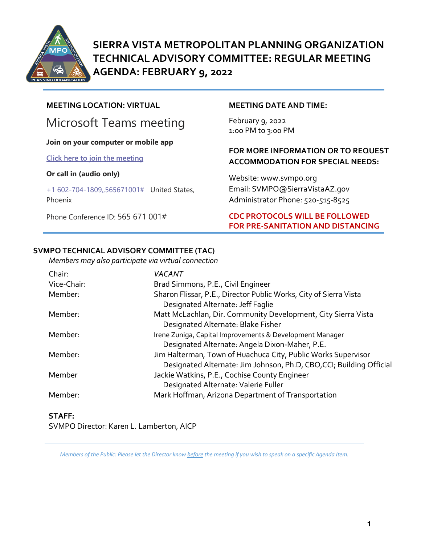

**SIERRA VISTA METROPOLITAN PLANNING ORGANIZATION TECHNICAL ADVISORY COMMITTEE: REGULAR MEETING AGENDA: FEBRUARY 9, 2022**

# **MEETING LOCATION: VIRTUAL**

# Microsoft Teams meeting

#### **Join on your computer or mobile app**

**[Click here to join the meeting](https://teams.microsoft.com/l/meetup-join/19%3ameeting_Y2JmNDJkNzgtMDgwMS00ZWI3LWJhM2UtZGI4Y2E4ZGIxMjc2%40thread.v2/0?context=%7b%22Tid%22%3a%2236676c86-4a76-422a-8d4e-223152386488%22%2c%22Oid%22%3a%22956098f9-794b-4934-9a34-9a99f53bf1f3%22%7d)**

#### **Or call in (audio only)**

[+1 602-704-1809,,565671001#](tel:+16027041809,,565671001#%20) United States, Phoenix

Phone Conference ID: 565 671 001#

#### **MEETING DATE AND TIME:**

February 9, 2022 1:0o PM to 3:00 PM

### **FOR MORE INFORMATION OR TO REQUEST ACCOMMODATION FOR SPECIAL NEEDS:**

Website: www.svmpo.org Email: SVMPO@SierraVistaAZ.gov Administrator Phone: 520-515-8525

### **CDC PROTOCOLS WILL BE FOLLOWED FOR PRE-SANITATION AND DISTANCING**

#### **SVMPO TECHNICAL ADVISORY COMMITTEE (TAC)**

*Members may also participate via virtual connection* 

| Chair:      | VACANT                                                                                                                                |
|-------------|---------------------------------------------------------------------------------------------------------------------------------------|
| Vice-Chair: | Brad Simmons, P.E., Civil Engineer                                                                                                    |
| Member:     | Sharon Flissar, P.E., Director Public Works, City of Sierra Vista<br>Designated Alternate: Jeff Faglie                                |
| Member:     | Matt McLachlan, Dir. Community Development, City Sierra Vista<br>Designated Alternate: Blake Fisher                                   |
| Member:     | Irene Zuniga, Capital Improvements & Development Manager<br>Designated Alternate: Angela Dixon-Maher, P.E.                            |
| Member:     | Jim Halterman, Town of Huachuca City, Public Works Supervisor<br>Designated Alternate: Jim Johnson, Ph.D, CBO, CCI; Building Official |
| Member      | Jackie Watkins, P.E., Cochise County Engineer<br>Designated Alternate: Valerie Fuller                                                 |
| Member:     | Mark Hoffman, Arizona Department of Transportation                                                                                    |

#### **STAFF:** SVMPO Director: Karen L. Lamberton, AICP

*Members of the Public: Please let the Director know before the meeting if you wish to speak on a specific Agenda Item.*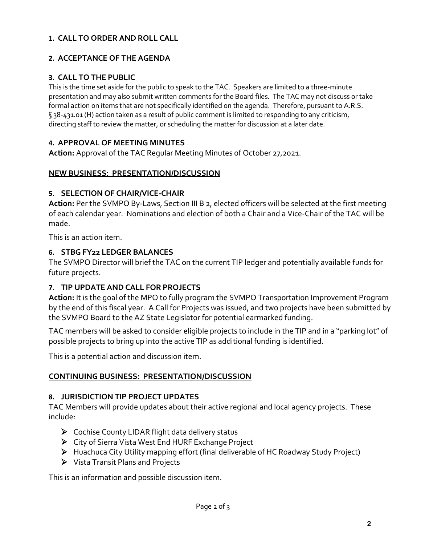# **1. CALL TO ORDER AND ROLL CALL**

# **2. ACCEPTANCE OF THE AGENDA**

# **3. CALL TO THE PUBLIC**

This is the time set aside for the public to speak to the TAC. Speakers are limited to a three-minute presentation and may also submit written comments for the Board files. The TAC may not discuss or take formal action on items that are not specifically identified on the agenda. Therefore, pursuant to A.R.S. § 38-431.01 (H) action taken as a result of public comment is limited to responding to any criticism, directing staff to review the matter, or scheduling the matter for discussion at a later date.

### **4. APPROVAL OF MEETING MINUTES**

**Action:** Approval of the TAC Regular Meeting Minutes of October 27,2021.

### **NEW BUSINESS: PRESENTATION/DISCUSSION**

### **5. SELECTION OF CHAIR/VICE-CHAIR**

**Action:** Per the SVMPO By-Laws, Section III B 2, elected officers will be selected at the first meeting of each calendar year. Nominations and election of both a Chair and a Vice-Chair of the TAC will be made.

This is an action item.

#### **6. STBG FY22 LEDGER BALANCES**

The SVMPO Director will brief the TAC on the current TIP ledger and potentially available funds for future projects.

# **7. TIP UPDATE AND CALL FOR PROJECTS**

**Action:** It is the goal of the MPO to fully program the SVMPO Transportation Improvement Program by the end of this fiscal year. A Call for Projects was issued, and two projects have been submitted by the SVMPO Board to the AZ State Legislator for potential earmarked funding.

TAC members will be asked to consider eligible projects to include in the TIP and in a "parking lot" of possible projects to bring up into the active TIP as additional funding is identified.

This is a potential action and discussion item.

# **CONTINUING BUSINESS: PRESENTATION/DISCUSSION**

#### **8. JURISDICTION TIP PROJECT UPDATES**

TAC Members will provide updates about their active regional and local agency projects. These include:

- ▶ Cochise County LIDAR flight data delivery status
- City of Sierra Vista West End HURF Exchange Project
- Huachuca City Utility mapping effort (final deliverable of HC Roadway Study Project)
- Vista Transit Plans and Projects

This is an information and possible discussion item.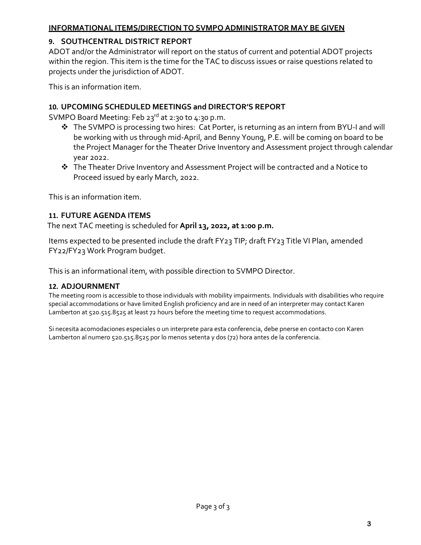# **INFORMATIONAL ITEMS/DIRECTION TO SVMPO ADMINISTRATOR MAY BE GIVEN**

# **9. SOUTHCENTRAL DISTRICT REPORT**

ADOT and/or the Administrator will report on the status of current and potential ADOT projects within the region. This item is the time for the TAC to discuss issues or raise questions related to projects under the jurisdiction of ADOT.

This is an information item.

### **10. UPCOMING SCHEDULED MEETINGS and DIRECTOR'S REPORT**

SVMPO Board Meeting: Feb 23 $rd$  at 2:30 to 4:30 p.m.

- ◆ The SVMPO is processing two hires: Cat Porter, is returning as an intern from BYU-I and will be working with us through mid-April, and Benny Young, P.E. will be coming on board to be the Project Manager for the Theater Drive Inventory and Assessment project through calendar year 2022.
- The Theater Drive Inventory and Assessment Project will be contracted and a Notice to Proceed issued by early March, 2022.

This is an information item.

### **11. FUTURE AGENDA ITEMS**

The next TAC meeting is scheduled for **April 13, 2022, at 1:00 p.m.** 

Items expected to be presented include the draft FY23 TIP; draft FY23 Title VI Plan, amended FY22/FY23 Work Program budget.

This is an informational item, with possible direction to SVMPO Director.

#### **12. ADJOURNMENT**

The meeting room is accessible to those individuals with mobility impairments. Individuals with disabilities who require special accommodations or have limited English proficiency and are in need of an interpreter may contact Karen Lamberton at 520.515.8525 at least 72 hours before the meeting time to request accommodations.

Si necesita acomodaciones especiales o un interprete para esta conferencia, debe pnerse en contacto con Karen Lamberton al numero 520.515.8525 por lo menos setenta y dos (72) hora antes de la conferencia.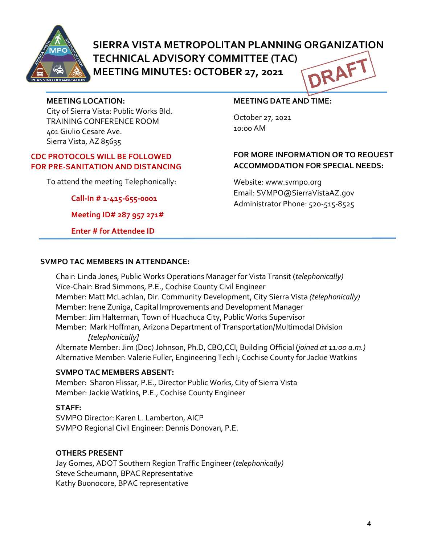

# **SIERRA VISTA METROPOLITAN PLANNING ORGANIZATION TECHNICAL ADVISORY COMMITTEE (TAC)** DRAF **MEETING MINUTES: OCTOBER 27, 2021**

#### **MEETING LOCATION:**

City of Sierra Vista: Public Works Bld. TRAINING CONFERENCE ROOM 401 Giulio Cesare Ave. Sierra Vista, AZ 85635

#### **CDC PROTOCOLS WILL BE FOLLOWED FOR PRE-SANITATION AND DISTANCING**

To attend the meeting Telephonically:

**Call-In # 1-415-655-0001**

**Meeting ID# 287 957 271#**

**Enter # for Attendee ID**

# **MEETING DATE AND TIME:**

October 27, 2021 10:00 AM

# **FOR MORE INFORMATION OR TO REQUEST ACCOMMODATION FOR SPECIAL NEEDS:**

Website: www.svmpo.org Email: SVMPO@SierraVistaAZ.gov Administrator Phone: 520-515-8525

#### **SVMPO TAC MEMBERS IN ATTENDANCE:**

Chair: Linda Jones, Public Works Operations Manager for Vista Transit (*telephonically)* Vice-Chair: Brad Simmons, P.E., Cochise County Civil Engineer Member: Matt McLachlan, Dir. Community Development, City Sierra Vista *(telephonically)* Member: Irene Zuniga, Capital Improvements and Development Manager Member: Jim Halterman*,* Town of Huachuca City, Public Works Supervisor Member: Mark Hoffman, Arizona Department of Transportation/Multimodal Division  *[telephonically]*

Alternate Member: Jim (Doc) Johnson, Ph.D, CBO,CCI; Building Official (*joined at 11:00 a.m.)* Alternative Member: Valerie Fuller, Engineering Tech I; Cochise County for Jackie Watkins

#### **SVMPO TAC MEMBERS ABSENT:**

Member: Sharon Flissar, P.E., Director Public Works, City of Sierra Vista Member: Jackie Watkins, P.E., Cochise County Engineer

#### **STAFF:**

SVMPO Director: Karen L. Lamberton, AICP SVMPO Regional Civil Engineer: Dennis Donovan, P.E.

#### **OTHERS PRESENT**

Jay Gomes, ADOT Southern Region Traffic Engineer (*telephonically)* Steve Scheumann, BPAC Representative Kathy Buonocore, BPAC representative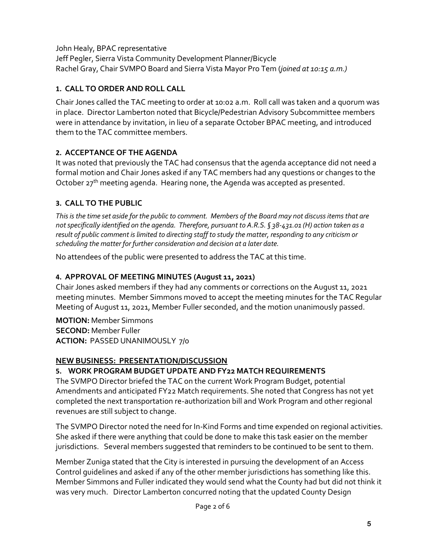John Healy, BPAC representative Jeff Pegler, Sierra Vista Community Development Planner/Bicycle Rachel Gray, Chair SVMPO Board and Sierra Vista Mayor Pro Tem (*joined at 10:15 a.m.)* 

# **1. CALL TO ORDER AND ROLL CALL**

Chair Jones called the TAC meeting to order at 10:02 a.m. Roll call was taken and a quorum was in place. Director Lamberton noted that Bicycle/Pedestrian Advisory Subcommittee members were in attendance by invitation, in lieu of a separate October BPAC meeting, and introduced them to the TAC committee members.

# **2. ACCEPTANCE OF THE AGENDA**

It was noted that previously the TAC had consensus that the agenda acceptance did not need a formal motion and Chair Jones asked if any TAC members had any questions or changes to the October  $27<sup>th</sup>$  meeting agenda. Hearing none, the Agenda was accepted as presented.

# **3. CALL TO THE PUBLIC**

*This is the time set aside for the public to comment. Members of the Board may not discuss items that are not specifically identified on the agenda. Therefore, pursuant to A.R.S. § 38-431.01 (H) action taken as a result of public comment is limited to directing staff to study the matter, responding to any criticism or scheduling the matter for further consideration and decision at a later date.*

No attendees of the public were presented to address the TAC at this time.

# **4. APPROVAL OF MEETING MINUTES (August 11, 2021)**

Chair Jones asked members if they had any comments or corrections on the August 11, 2021 meeting minutes. Member Simmons moved to accept the meeting minutes for the TAC Regular Meeting of August 11, 2021, Member Fuller seconded, and the motion unanimously passed.

**MOTION:** Member Simmons **SECOND:** Member Fuller **ACTION:** PASSED UNANIMOUSLY 7/0

# **NEW BUSINESS: PRESENTATION/DISCUSSION**

# **5. WORK PROGRAM BUDGET UPDATE AND FY22 MATCH REQUIREMENTS**

The SVMPO Director briefed the TAC on the current Work Program Budget, potential Amendments and anticipated FY22 Match requirements. She noted that Congress has not yet completed the next transportation re-authorization bill and Work Program and other regional revenues are still subject to change.

The SVMPO Director noted the need for In-Kind Forms and time expended on regional activities. She asked if there were anything that could be done to make this task easier on the member jurisdictions. Several members suggested that reminders to be continued to be sent to them.

Member Zuniga stated that the City is interested in pursuing the development of an Access Control guidelines and asked if any of the other member jurisdictions has something like this. Member Simmons and Fuller indicated they would send what the County had but did not think it was very much. Director Lamberton concurred noting that the updated County Design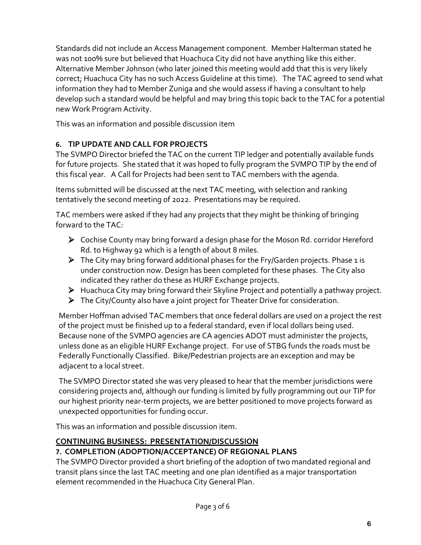Standards did not include an Access Management component. Member Halterman stated he was not 100% sure but believed that Huachuca City did not have anything like this either. Alternative Member Johnson (who later joined this meeting would add that this is very likely correct; Huachuca City has no such Access Guideline at this time). The TAC agreed to send what information they had to Member Zuniga and she would assess if having a consultant to help develop such a standard would be helpful and may bring this topic back to the TAC for a potential new Work Program Activity.

This was an information and possible discussion item

# **6. TIP UPDATE AND CALL FOR PROJECTS**

The SVMPO Director briefed the TAC on the current TIP ledger and potentially available funds for future projects. She stated that it was hoped to fully program the SVMPO TIP by the end of this fiscal year. A Call for Projects had been sent to TAC members with the agenda.

Items submitted will be discussed at the next TAC meeting, with selection and ranking tentatively the second meeting of 2022. Presentations may be required.

TAC members were asked if they had any projects that they might be thinking of bringing forward to the TAC:

- ➢ Cochise County may bring forward a design phase for the Moson Rd. corridor Hereford Rd. to Highway 92 which is a length of about 8 miles.
- ➢ The City may bring forward additional phases for the Fry/Garden projects. Phase 1 is under construction now. Design has been completed for these phases. The City also indicated they rather do these as HURF Exchange projects.
- ➢ Huachuca City may bring forward their Skyline Project and potentially a pathway project.
- ➢ The City/County also have a joint project for Theater Drive for consideration.

Member Hoffman advised TAC members that once federal dollars are used on a project the rest of the project must be finished up to a federal standard, even if local dollars being used. Because none of the SVMPO agencies are CA agencies ADOT must administer the projects, unless done as an eligible HURF Exchange project. For use of STBG funds the roads must be Federally Functionally Classified. Bike/Pedestrian projects are an exception and may be adjacent to a local street.

The SVMPO Director stated she was very pleased to hear that the member jurisdictions were considering projects and, although our funding is limited by fully programming out our TIP for our highest priority near-term projects, we are better positioned to move projects forward as unexpected opportunities for funding occur.

This was an information and possible discussion item.

#### **CONTINUING BUSINESS: PRESENTATION/DISCUSSION 7. COMPLETION (ADOPTION/ACCEPTANCE) OF REGIONAL PLANS**

The SVMPO Director provided a short briefing of the adoption of two mandated regional and transit plans since the last TAC meeting and one plan identified as a major transportation element recommended in the Huachuca City General Plan.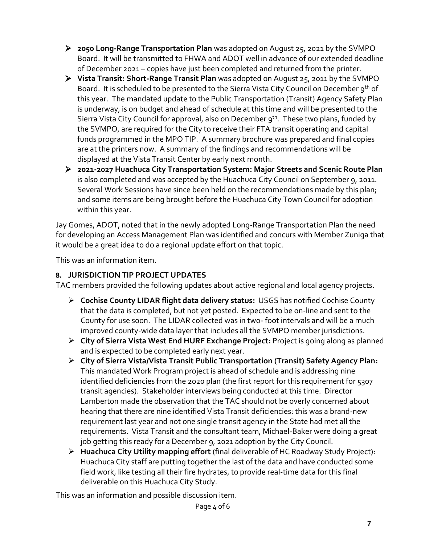- ➢ **2050 Long-Range Transportation Plan** was adopted on August 25, 2021 by the SVMPO Board. It will be transmitted to FHWA and ADOT well in advance of our extended deadline of December 2021 – copies have just been completed and returned from the printer.
- ➢ **Vista Transit: Short-Range Transit Plan** was adopted on August 25, 2011 by the SVMPO Board. It is scheduled to be presented to the Sierra Vista City Council on December 9<sup>th</sup> of this year. The mandated update to the Public Transportation (Transit) Agency Safety Plan is underway, is on budget and ahead of schedule at this time and will be presented to the Sierra Vista City Council for approval, also on December 9<sup>th</sup>. These two plans, funded by the SVMPO, are required for the City to receive their FTA transit operating and capital funds programmed in the MPO TIP. A summary brochure was prepared and final copies are at the printers now. A summary of the findings and recommendations will be displayed at the Vista Transit Center by early next month.
- ➢ **2021-2027 Huachuca City Transportation System: Major Streets and Scenic Route Plan** is also completed and was accepted by the Huachuca City Council on September 9, 2011. Several Work Sessions have since been held on the recommendations made by this plan; and some items are being brought before the Huachuca City Town Council for adoption within this year.

Jay Gomes, ADOT, noted that in the newly adopted Long-Range Transportation Plan the need for developing an Access Management Plan was identified and concurs with Member Zuniga that it would be a great idea to do a regional update effort on that topic.

This was an information item.

# **8. JURISDICTION TIP PROJECT UPDATES**

TAC members provided the following updates about active regional and local agency projects.

- ➢ **Cochise County LIDAR flight data delivery status:** USGS has notified Cochise County that the data is completed, but not yet posted. Expected to be on-line and sent to the County for use soon. The LIDAR collected was in two- foot intervals and will be a much improved county-wide data layer that includes all the SVMPO member jurisdictions.
- ➢ **City of Sierra Vista West End HURF Exchange Project:** Project is going along as planned and is expected to be completed early next year.
- ➢ **City of Sierra Vista/Vista Transit Public Transportation (Transit) Safety Agency Plan:** This mandated Work Program project is ahead of schedule and is addressing nine identified deficiencies from the 2020 plan (the first report for this requirement for 5307 transit agencies). Stakeholder interviews being conducted at this time. Director Lamberton made the observation that the TAC should not be overly concerned about hearing that there are nine identified Vista Transit deficiencies: this was a brand-new requirement last year and not one single transit agency in the State had met all the requirements. Vista Transit and the consultant team, Michael-Baker were doing a great job getting this ready for a December 9, 2021 adoption by the City Council.
- ➢ **Huachuca City Utility mapping effort** (final deliverable of HC Roadway Study Project): Huachuca City staff are putting together the last of the data and have conducted some field work, like testing all their fire hydrates, to provide real-time data for this final deliverable on this Huachuca City Study.

This was an information and possible discussion item.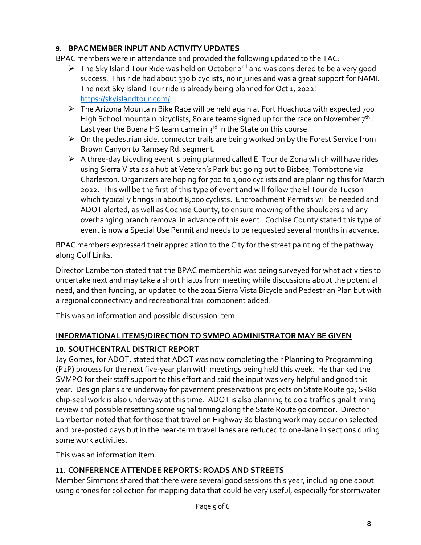# **9. BPAC MEMBER INPUT AND ACTIVITY UPDATES**

BPAC members were in attendance and provided the following updated to the TAC:

- $\triangleright$  The Sky Island Tour Ride was held on October 2<sup>nd</sup> and was considered to be a very good success. This ride had about 330 bicyclists, no injuries and was a great support for NAMI. The next Sky Island Tour ride is already being planned for Oct 1, 2022! <https://skyislandtour.com/>
- ➢ The Arizona Mountain Bike Race will be held again at Fort Huachuca with expected 700 High School mountain bicyclists, 80 are teams signed up for the race on November  $7<sup>th</sup>$ . Last year the Buena HS team came in  $3^{rd}$  in the State on this course.
- $\triangleright$  On the pedestrian side, connector trails are being worked on by the Forest Service from Brown Canyon to Ramsey Rd. segment.
- $\triangleright$  A three-day bicycling event is being planned called El Tour de Zona which will have rides using Sierra Vista as a hub at Veteran's Park but going out to Bisbee, Tombstone via Charleston. Organizers are hoping for 700 to 1,00o cyclists and are planning this for March 2022. This will be the first of this type of event and will follow the El Tour de Tucson which typically brings in about 8,000 cyclists. Encroachment Permits will be needed and ADOT alerted, as well as Cochise County, to ensure mowing of the shoulders and any overhanging branch removal in advance of this event. Cochise County stated this type of event is now a Special Use Permit and needs to be requested several months in advance.

BPAC members expressed their appreciation to the City for the street painting of the pathway along Golf Links.

Director Lamberton stated that the BPAC membership was being surveyed for what activities to undertake next and may take a short hiatus from meeting while discussions about the potential need, and then funding, an updated to the 2011 Sierra Vista Bicycle and Pedestrian Plan but with a regional connectivity and recreational trail component added.

This was an information and possible discussion item.

# **INFORMATIONAL ITEMS/DIRECTION TO SVMPO ADMINISTRATOR MAY BE GIVEN**

# **10. SOUTHCENTRAL DISTRICT REPORT**

Jay Gomes, for ADOT, stated that ADOT was now completing their Planning to Programming (P2P) process for the next five-year plan with meetings being held this week. He thanked the SVMPO for their staff support to this effort and said the input was very helpful and good this year. Design plans are underway for pavement preservations projects on State Route 92; SR80 chip-seal work is also underway at this time. ADOT is also planning to do a traffic signal timing review and possible resetting some signal timing along the State Route 90 corridor. Director Lamberton noted that for those that travel on Highway 80 blasting work may occur on selected and pre-posted days but in the near-term travel lanes are reduced to one-lane in sections during some work activities.

This was an information item.

# **11. CONFERENCE ATTENDEE REPORTS: ROADS AND STREETS**

Member Simmons shared that there were several good sessions this year, including one about using drones for collection for mapping data that could be very useful, especially for stormwater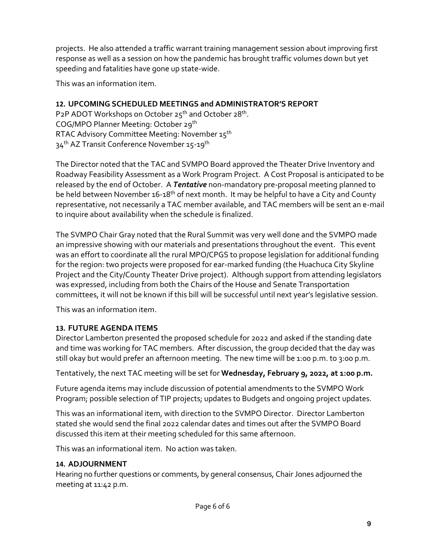projects. He also attended a traffic warrant training management session about improving first response as well as a session on how the pandemic has brought traffic volumes down but yet speeding and fatalities have gone up state-wide.

This was an information item.

# **12. UPCOMING SCHEDULED MEETINGS and ADMINISTRATOR'S REPORT**

P2P ADOT Workshops on October 25<sup>th</sup> and October 28<sup>th</sup>. COG/MPO Planner Meeting: October 29th RTAC Advisory Committee Meeting: November 15th 34<sup>th</sup> AZ Transit Conference November 15-19<sup>th</sup>

The Director noted that the TAC and SVMPO Board approved the Theater Drive Inventory and Roadway Feasibility Assessment as a Work Program Project. A Cost Proposal is anticipated to be released by the end of October. A *Tentative* non-mandatory pre-proposal meeting planned to be held between November 16-18<sup>th</sup> of next month. It may be helpful to have a City and County representative, not necessarily a TAC member available, and TAC members will be sent an e-mail to inquire about availability when the schedule is finalized.

The SVMPO Chair Gray noted that the Rural Summit was very well done and the SVMPO made an impressive showing with our materials and presentations throughout the event. This event was an effort to coordinate all the rural MPO/CPGS to propose legislation for additional funding for the region: two projects were proposed for ear-marked funding (the Huachuca City Skyline Project and the City/County Theater Drive project). Although support from attending legislators was expressed, including from both the Chairs of the House and Senate Transportation committees, it will not be known if this bill will be successful until next year's legislative session.

This was an information item.

# **13. FUTURE AGENDA ITEMS**

Director Lamberton presented the proposed schedule for 2022 and asked if the standing date and time was working for TAC members. After discussion, the group decided that the day was still okay but would prefer an afternoon meeting. The new time will be 1:00 p.m. to 3:00 p.m.

Tentatively, the next TAC meeting will be set for **Wednesday, February 9, 2022, at 1:00 p.m.**

Future agenda items may include discussion of potential amendments to the SVMPO Work Program; possible selection of TIP projects; updates to Budgets and ongoing project updates.

This was an informational item, with direction to the SVMPO Director. Director Lamberton stated she would send the final 2022 calendar dates and times out after the SVMPO Board discussed this item at their meeting scheduled for this same afternoon.

This was an informational item. No action was taken.

# **14. ADJOURNMENT**

Hearing no further questions or comments, by general consensus, Chair Jones adjourned the meeting at 11:42 p.m.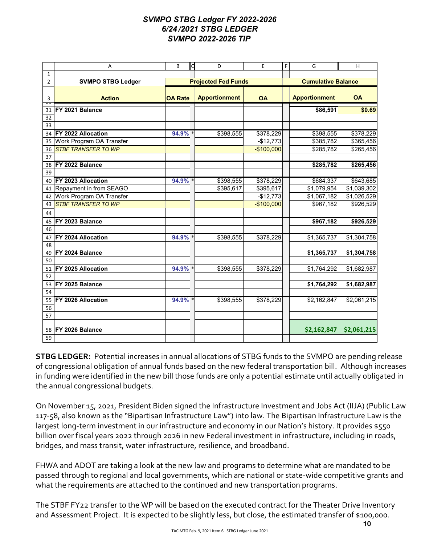#### *SVMPO STBG Ledger FY 2022-2026 6/24 /2021 STBG LEDGER SVMPO 2022-2026 TIP*

|                | Α                          | B              | $\mathsf{C}$               | D                    | E           | $\mathsf F$ | G                    | H                         |  |  |
|----------------|----------------------------|----------------|----------------------------|----------------------|-------------|-------------|----------------------|---------------------------|--|--|
| $\mathbf{1}$   |                            |                |                            |                      |             |             |                      |                           |  |  |
| $\overline{2}$ | <b>SVMPO STBG Ledger</b>   |                | <b>Projected Fed Funds</b> |                      |             |             |                      | <b>Cumulative Balance</b> |  |  |
| 3              | <b>Action</b>              | <b>OA Rate</b> |                            | <b>Apportionment</b> | <b>OA</b>   |             | <b>Apportionment</b> | <b>OA</b>                 |  |  |
| 31             | FY 2021 Balance            |                |                            |                      |             |             | \$86,591             | \$0.69                    |  |  |
| 32             |                            |                |                            |                      |             |             |                      |                           |  |  |
| 33             |                            |                |                            |                      |             |             |                      |                           |  |  |
| 34             | FY 2022 Allocation         | 94.9%          |                            | \$398,555            | \$378,229   |             | \$398,555            | \$378,229                 |  |  |
| 35             | Work Program OA Transfer   |                |                            |                      | $-$12,773$  |             | \$385,782            | \$365,456                 |  |  |
| 36             | <b>STBF TRANSFER TO WP</b> |                |                            |                      | $-$100,000$ |             | \$285,782            | \$265,456                 |  |  |
| 37             |                            |                |                            |                      |             |             |                      |                           |  |  |
| 38             | FY 2022 Balance            |                |                            |                      |             |             | \$285,782            | \$265,456                 |  |  |
| 39             |                            |                |                            |                      |             |             |                      |                           |  |  |
| 40             | FY 2023 Allocation         | 94.9% *        |                            | \$398,555            | \$378,229   |             | \$684,337            | \$643,685                 |  |  |
| 41             | Repayment in from SEAGO    |                |                            | \$395,617            | \$395,617   |             | \$1,079,954          | \$1,039,302               |  |  |
| 42             | Work Program OA Transfer   |                |                            |                      | $-$12,773$  |             | \$1,067,182          | \$1,026,529               |  |  |
| 43             | <b>STBF TRANSFER TO WP</b> |                |                            |                      | $-$100,000$ |             | \$967,182            | \$926,529                 |  |  |
| 44             |                            |                |                            |                      |             |             |                      |                           |  |  |
| 45             | FY 2023 Balance            |                |                            |                      |             |             | \$967,182            | \$926,529                 |  |  |
| 46             |                            |                |                            |                      |             |             |                      |                           |  |  |
| 47             | <b>FY 2024 Allocation</b>  | 94.9%          |                            | \$398,555            | \$378,229   |             | \$1,365,737          | \$1,304,758               |  |  |
| 48             |                            |                |                            |                      |             |             |                      |                           |  |  |
| 49             | FY 2024 Balance            |                |                            |                      |             |             | \$1,365,737          | \$1,304,758               |  |  |
| 50             |                            |                |                            |                      |             |             |                      |                           |  |  |
| 51             | FY 2025 Allocation         | 94.9%          |                            | \$398,555            | \$378,229   |             | \$1,764,292          | \$1,682,987               |  |  |
| 52             |                            |                |                            |                      |             |             |                      |                           |  |  |
| 53             | FY 2025 Balance            |                |                            |                      |             |             | \$1,764,292          | \$1,682,987               |  |  |
| 54             |                            |                |                            |                      |             |             |                      |                           |  |  |
| 55             | <b>FY 2026 Allocation</b>  | 94.9%          |                            | \$398,555            | \$378,229   |             | \$2,162,847          | \$2,061,215               |  |  |
| 56             |                            |                |                            |                      |             |             |                      |                           |  |  |
| 57             |                            |                |                            |                      |             |             |                      |                           |  |  |
| 58             | <b>IFY 2026 Balance</b>    |                |                            |                      |             |             | \$2,162,847          | \$2,061,215               |  |  |
| 59             |                            |                |                            |                      |             |             |                      |                           |  |  |

**STBG LEDGER:** Potential increases in annual allocations of STBG funds to the SVMPO are pending release of congressional obligation of annual funds based on the new federal transportation bill. Although increases in funding were identified in the new bill those funds are only a potential estimate until actually obligated in the annual congressional budgets.

On November 15, 2021, President Biden signed the Infrastructure Investment and Jobs Act (IIJA) (Public Law 117-58, also known as the "Bipartisan Infrastructure Law") into law. The Bipartisan Infrastructure Law is the largest long-term investment in our infrastructure and economy in our Nation's history. It provides \$550 billion over fiscal years 2022 through 2026 in new Federal investment in infrastructure, including in roads, bridges, and mass transit, water infrastructure, resilience, and broadband.

FHWA and ADOT are taking a look at the new law and programs to determine what are mandated to be passed through to regional and local governments, which are national or state-wide competitive grants and what the requirements are attached to the continued and new transportation programs.

The STBF FY22 transfer to the WP will be based on the executed contract for the Theater Drive Inventory and Assessment Project. It is expected to be slightly less, but close, the estimated transfer of \$100,000.